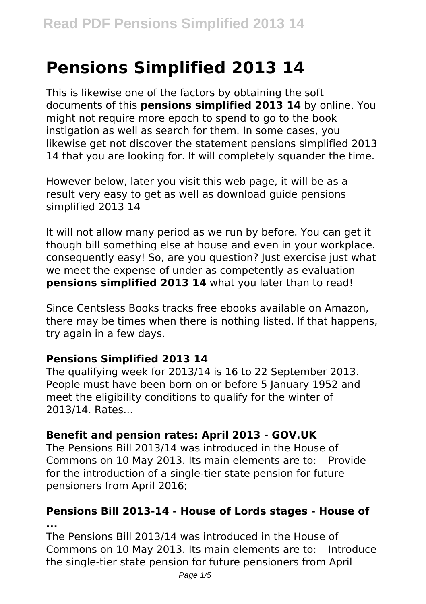# **Pensions Simplified 2013 14**

This is likewise one of the factors by obtaining the soft documents of this **pensions simplified 2013 14** by online. You might not require more epoch to spend to go to the book instigation as well as search for them. In some cases, you likewise get not discover the statement pensions simplified 2013 14 that you are looking for. It will completely squander the time.

However below, later you visit this web page, it will be as a result very easy to get as well as download guide pensions simplified 2013 14

It will not allow many period as we run by before. You can get it though bill something else at house and even in your workplace. consequently easy! So, are you question? Just exercise just what we meet the expense of under as competently as evaluation **pensions simplified 2013 14** what you later than to read!

Since Centsless Books tracks free ebooks available on Amazon, there may be times when there is nothing listed. If that happens, try again in a few days.

# **Pensions Simplified 2013 14**

The qualifying week for 2013/14 is 16 to 22 September 2013. People must have been born on or before 5 January 1952 and meet the eligibility conditions to qualify for the winter of 2013/14. Rates...

# **Benefit and pension rates: April 2013 - GOV.UK**

The Pensions Bill 2013/14 was introduced in the House of Commons on 10 May 2013. Its main elements are to: – Provide for the introduction of a single-tier state pension for future pensioners from April 2016;

#### **Pensions Bill 2013-14 - House of Lords stages - House of ...**

The Pensions Bill 2013/14 was introduced in the House of Commons on 10 May 2013. Its main elements are to: – Introduce the single-tier state pension for future pensioners from April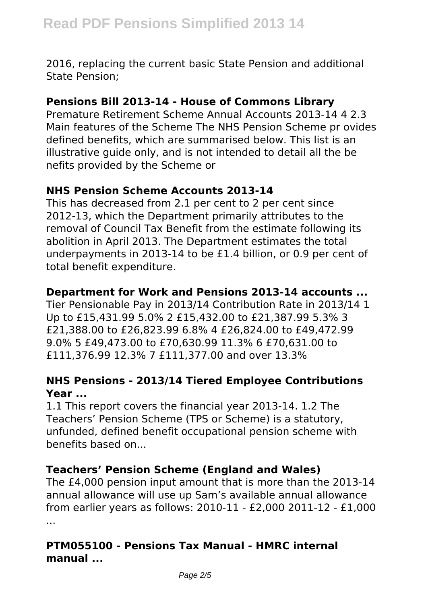2016, replacing the current basic State Pension and additional State Pension;

#### **Pensions Bill 2013-14 - House of Commons Library**

Premature Retirement Scheme Annual Accounts 2013-14 4 2.3 Main features of the Scheme The NHS Pension Scheme pr ovides defined benefits, which are summarised below. This list is an illustrative guide only, and is not intended to detail all the be nefits provided by the Scheme or

# **NHS Pension Scheme Accounts 2013-14**

This has decreased from 2.1 per cent to 2 per cent since 2012-13, which the Department primarily attributes to the removal of Council Tax Benefit from the estimate following its abolition in April 2013. The Department estimates the total underpayments in 2013-14 to be £1.4 billion, or 0.9 per cent of total benefit expenditure.

# **Department for Work and Pensions 2013-14 accounts ...**

Tier Pensionable Pay in 2013/14 Contribution Rate in 2013/14 1 Up to £15,431.99 5.0% 2 £15,432.00 to £21,387.99 5.3% 3 £21,388.00 to £26,823.99 6.8% 4 £26,824.00 to £49,472.99 9.0% 5 £49,473.00 to £70,630.99 11.3% 6 £70,631.00 to £111,376.99 12.3% 7 £111,377.00 and over 13.3%

# **NHS Pensions - 2013/14 Tiered Employee Contributions Year ...**

1.1 This report covers the financial year 2013-14. 1.2 The Teachers' Pension Scheme (TPS or Scheme) is a statutory, unfunded, defined benefit occupational pension scheme with benefits based on...

# **Teachers' Pension Scheme (England and Wales)**

The £4,000 pension input amount that is more than the 2013-14 annual allowance will use up Sam's available annual allowance from earlier years as follows: 2010-11 - £2,000 2011-12 - £1,000 ...

# **PTM055100 - Pensions Tax Manual - HMRC internal manual ...**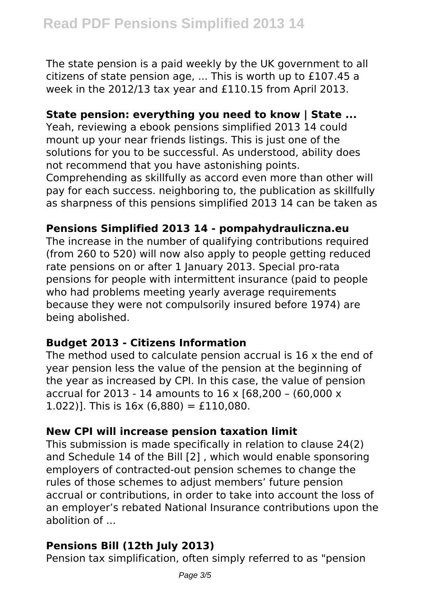The state pension is a paid weekly by the UK government to all citizens of state pension age, ... This is worth up to £107.45 a week in the 2012/13 tax year and £110.15 from April 2013.

#### **State pension: everything you need to know | State ...**

Yeah, reviewing a ebook pensions simplified 2013 14 could mount up your near friends listings. This is just one of the solutions for you to be successful. As understood, ability does not recommend that you have astonishing points.

Comprehending as skillfully as accord even more than other will pay for each success. neighboring to, the publication as skillfully as sharpness of this pensions simplified 2013 14 can be taken as

#### **Pensions Simplified 2013 14 - pompahydrauliczna.eu**

The increase in the number of qualifying contributions required (from 260 to 520) will now also apply to people getting reduced rate pensions on or after 1 January 2013. Special pro-rata pensions for people with intermittent insurance (paid to people who had problems meeting yearly average requirements because they were not compulsorily insured before 1974) are being abolished.

# **Budget 2013 - Citizens Information**

The method used to calculate pension accrual is 16 x the end of year pension less the value of the pension at the beginning of the year as increased by CPI. In this case, the value of pension accrual for 2013 - 14 amounts to 16 x [68,200 – (60,000 x 1.022)]. This is  $16x (6,880) = \text{\pounds}110,080$ .

# **New CPI will increase pension taxation limit**

This submission is made specifically in relation to clause 24(2) and Schedule 14 of the Bill [2] , which would enable sponsoring employers of contracted-out pension schemes to change the rules of those schemes to adjust members' future pension accrual or contributions, in order to take into account the loss of an employer's rebated National Insurance contributions upon the abolition of ...

# **Pensions Bill (12th July 2013)**

Pension tax simplification, often simply referred to as "pension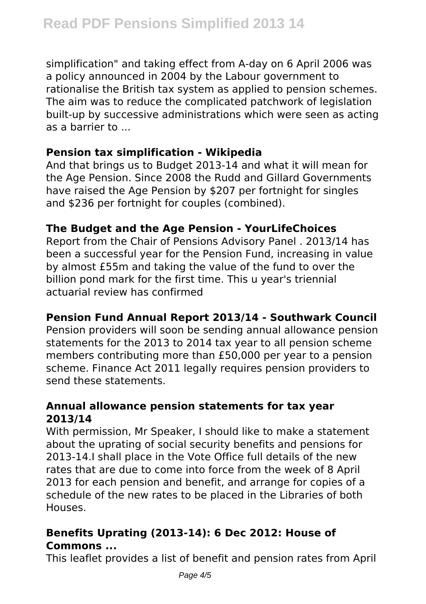simplification" and taking effect from A-day on 6 April 2006 was a policy announced in 2004 by the Labour government to rationalise the British tax system as applied to pension schemes. The aim was to reduce the complicated patchwork of legislation built-up by successive administrations which were seen as acting as a barrier to ...

# **Pension tax simplification - Wikipedia**

And that brings us to Budget 2013-14 and what it will mean for the Age Pension. Since 2008 the Rudd and Gillard Governments have raised the Age Pension by \$207 per fortnight for singles and \$236 per fortnight for couples (combined).

# **The Budget and the Age Pension - YourLifeChoices**

Report from the Chair of Pensions Advisory Panel . 2013/14 has been a successful year for the Pension Fund, increasing in value by almost £55m and taking the value of the fund to over the billion pond mark for the first time. This u year's triennial actuarial review has confirmed

# **Pension Fund Annual Report 2013/14 - Southwark Council**

Pension providers will soon be sending annual allowance pension statements for the 2013 to 2014 tax year to all pension scheme members contributing more than £50,000 per year to a pension scheme. Finance Act 2011 legally requires pension providers to send these statements.

#### **Annual allowance pension statements for tax year 2013/14**

With permission, Mr Speaker, I should like to make a statement about the uprating of social security benefits and pensions for 2013-14.I shall place in the Vote Office full details of the new rates that are due to come into force from the week of 8 April 2013 for each pension and benefit, and arrange for copies of a schedule of the new rates to be placed in the Libraries of both Houses.

# **Benefits Uprating (2013-14): 6 Dec 2012: House of Commons ...**

This leaflet provides a list of benefit and pension rates from April